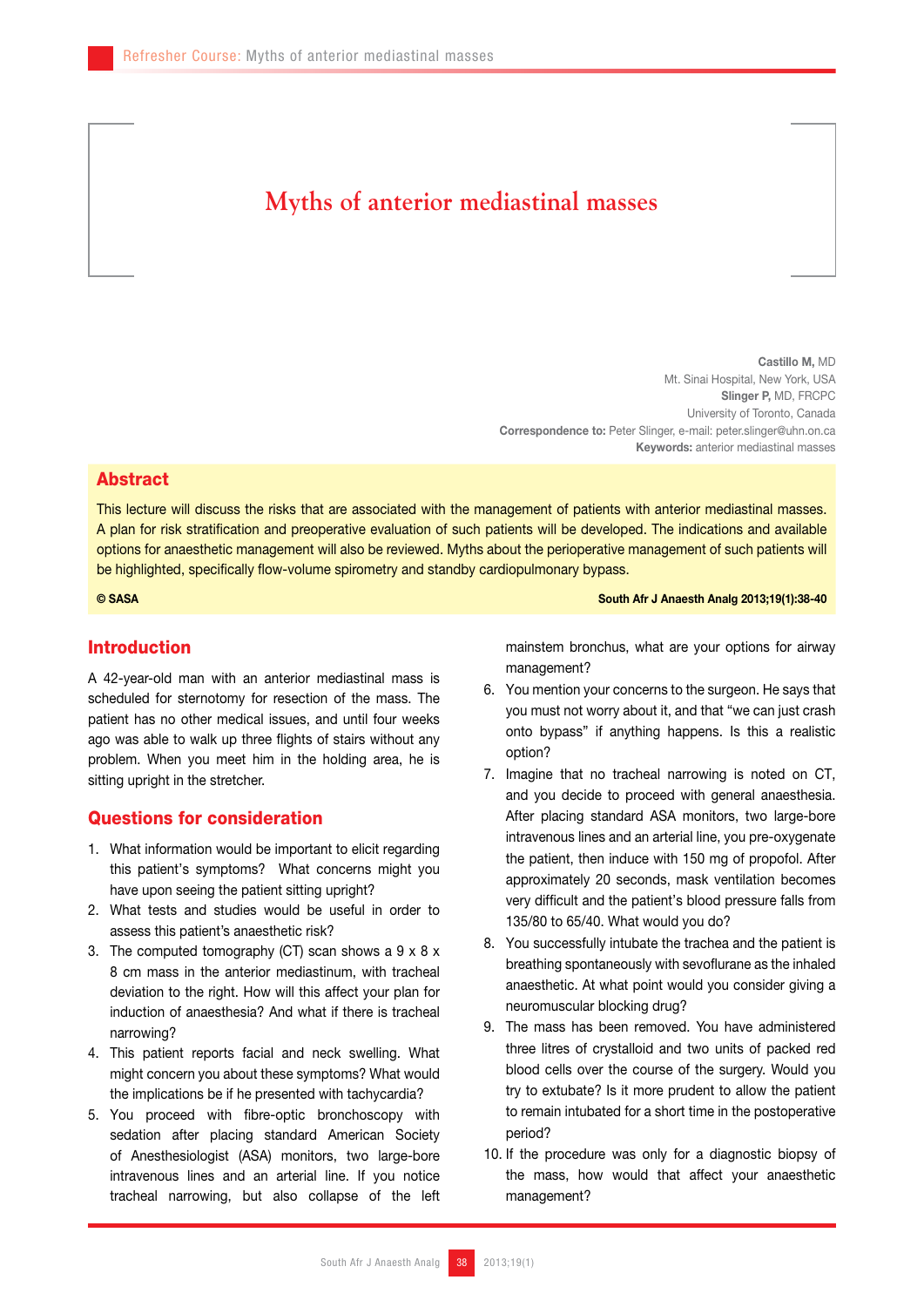# **Myths of anterior mediastinal masses**

Castillo M, MD Mt. Sinai Hospital, New York, USA Slinger P, MD, FRCPC University of Toronto, Canada Correspondence to: Peter Slinger, e-mail: peter.slinger@uhn.on.ca Keywords: anterior mediastinal masses

#### Abstract

This lecture will discuss the risks that are associated with the management of patients with anterior mediastinal masses. A plan for risk stratification and preoperative evaluation of such patients will be developed. The indications and available options for anaesthetic management will also be reviewed. Myths about the perioperative management of such patients will be highlighted, specifically flow-volume spirometry and standby cardiopulmonary bypass.

© SASA South Afr J Anaesth Analg 2013;19(1):38-40

## Introduction

A 42-year-old man with an anterior mediastinal mass is scheduled for sternotomy for resection of the mass. The patient has no other medical issues, and until four weeks ago was able to walk up three flights of stairs without any problem. When you meet him in the holding area, he is sitting upright in the stretcher.

### Questions for consideration

- 1. What information would be important to elicit regarding this patient's symptoms? What concerns might you have upon seeing the patient sitting upright?
- 2. What tests and studies would be useful in order to assess this patient's anaesthetic risk?
- 3. The computed tomography (CT) scan shows a  $9 \times 8 \times$ 8 cm mass in the anterior mediastinum, with tracheal deviation to the right. How will this affect your plan for induction of anaesthesia? And what if there is tracheal narrowing?
- 4. This patient reports facial and neck swelling. What might concern you about these symptoms? What would the implications be if he presented with tachycardia?
- 5. You proceed with fibre-optic bronchoscopy with sedation after placing standard American Society of Anesthesiologist (ASA) monitors, two large-bore intravenous lines and an arterial line. If you notice tracheal narrowing, but also collapse of the left

mainstem bronchus, what are your options for airway management?

- 6. You mention your concerns to the surgeon. He says that you must not worry about it, and that "we can just crash onto bypass" if anything happens. Is this a realistic option?
- 7. Imagine that no tracheal narrowing is noted on CT, and you decide to proceed with general anaesthesia. After placing standard ASA monitors, two large-bore intravenous lines and an arterial line, you pre-oxygenate the patient, then induce with 150 mg of propofol. After approximately 20 seconds, mask ventilation becomes very difficult and the patient's blood pressure falls from 135/80 to 65/40. What would you do?
- 8. You successfully intubate the trachea and the patient is breathing spontaneously with sevoflurane as the inhaled anaesthetic. At what point would you consider giving a neuromuscular blocking drug?
- 9. The mass has been removed. You have administered three litres of crystalloid and two units of packed red blood cells over the course of the surgery. Would you try to extubate? Is it more prudent to allow the patient to remain intubated for a short time in the postoperative period?
- 10. If the procedure was only for a diagnostic biopsy of the mass, how would that affect your anaesthetic management?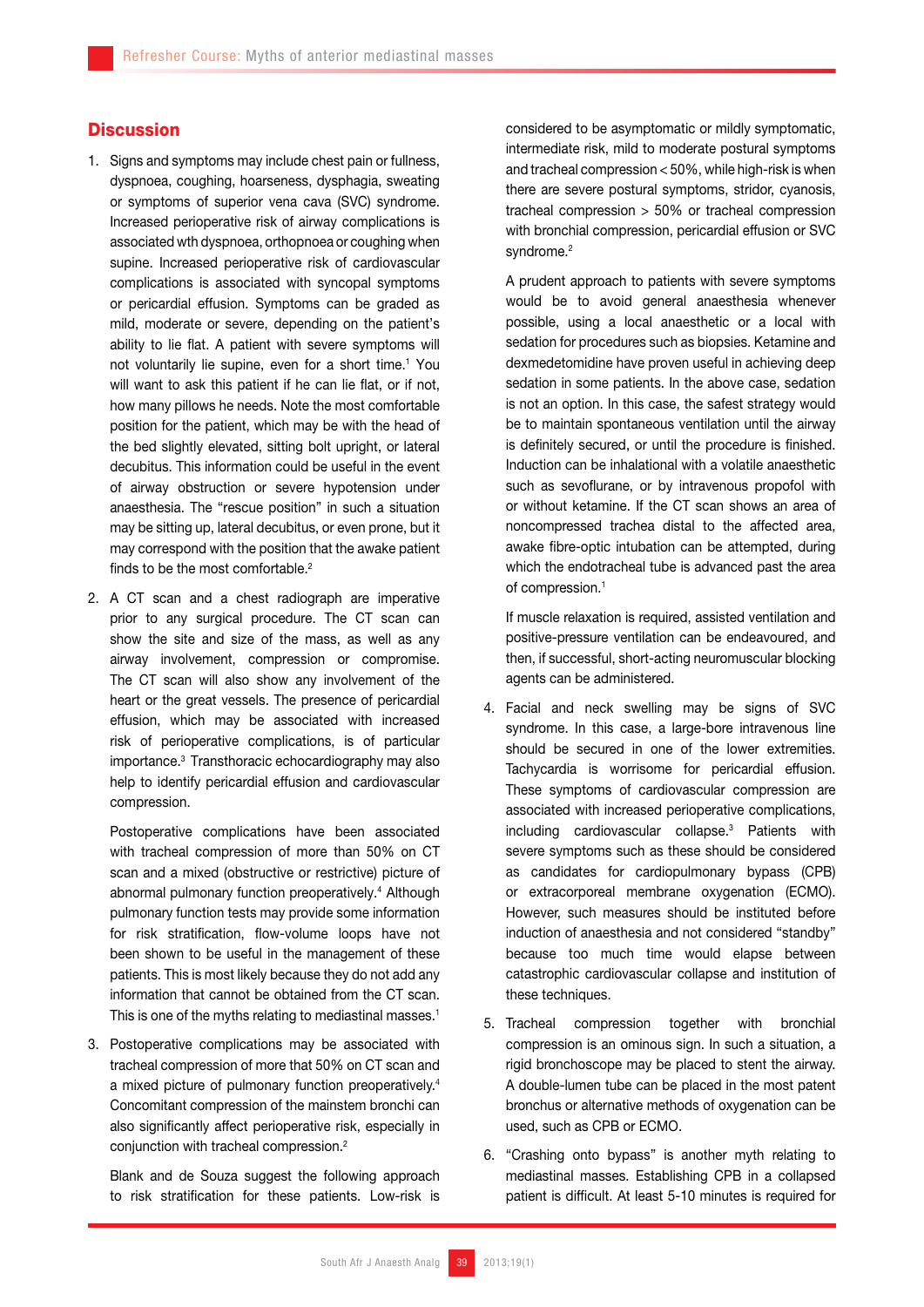# **Discussion**

- 1. Signs and symptoms may include chest pain or fullness, dyspnoea, coughing, hoarseness, dysphagia, sweating or symptoms of superior vena cava (SVC) syndrome. Increased perioperative risk of airway complications is associated wth dyspnoea, orthopnoea or coughing when supine. Increased perioperative risk of cardiovascular complications is associated with syncopal symptoms or pericardial effusion. Symptoms can be graded as mild, moderate or severe, depending on the patient's ability to lie flat. A patient with severe symptoms will not voluntarily lie supine, even for a short time.<sup>1</sup> You will want to ask this patient if he can lie flat, or if not, how many pillows he needs. Note the most comfortable position for the patient, which may be with the head of the bed slightly elevated, sitting bolt upright, or lateral decubitus. This information could be useful in the event of airway obstruction or severe hypotension under anaesthesia. The "rescue position" in such a situation may be sitting up, lateral decubitus, or even prone, but it may correspond with the position that the awake patient finds to be the most comfortable.<sup>2</sup>
- 2. A CT scan and a chest radiograph are imperative prior to any surgical procedure. The CT scan can show the site and size of the mass, as well as any airway involvement, compression or compromise. The CT scan will also show any involvement of the heart or the great vessels. The presence of pericardial effusion, which may be associated with increased risk of perioperative complications, is of particular importance.3 Transthoracic echocardiography may also help to identify pericardial effusion and cardiovascular compression.

Postoperative complications have been associated with tracheal compression of more than 50% on CT scan and a mixed (obstructive or restrictive) picture of abnormal pulmonary function preoperatively.4 Although pulmonary function tests may provide some information for risk stratification, flow-volume loops have not been shown to be useful in the management of these patients. This is most likely because they do not add any information that cannot be obtained from the CT scan. This is one of the myths relating to mediastinal masses.<sup>1</sup>

3. Postoperative complications may be associated with tracheal compression of more that 50% on CT scan and a mixed picture of pulmonary function preoperatively.4 Concomitant compression of the mainstem bronchi can also significantly affect perioperative risk, especially in conjunction with tracheal compression.2

Blank and de Souza suggest the following approach to risk stratification for these patients. Low-risk is

considered to be asymptomatic or mildly symptomatic, intermediate risk, mild to moderate postural symptoms and tracheal compression < 50%, while high-risk is when there are severe postural symptoms, stridor, cyanosis, tracheal compression > 50% or tracheal compression with bronchial compression, pericardial effusion or SVC syndrome.<sup>2</sup>

A prudent approach to patients with severe symptoms would be to avoid general anaesthesia whenever possible, using a local anaesthetic or a local with sedation for procedures such as biopsies. Ketamine and dexmedetomidine have proven useful in achieving deep sedation in some patients. In the above case, sedation is not an option. In this case, the safest strategy would be to maintain spontaneous ventilation until the airway is definitely secured, or until the procedure is finished. Induction can be inhalational with a volatile anaesthetic such as sevoflurane, or by intravenous propofol with or without ketamine. If the CT scan shows an area of noncompressed trachea distal to the affected area, awake fibre-optic intubation can be attempted, during which the endotracheal tube is advanced past the area of compression.1

If muscle relaxation is required, assisted ventilation and positive-pressure ventilation can be endeavoured, and then, if successful, short-acting neuromuscular blocking agents can be administered.

- 4. Facial and neck swelling may be signs of SVC syndrome. In this case, a large-bore intravenous line should be secured in one of the lower extremities. Tachycardia is worrisome for pericardial effusion. These symptoms of cardiovascular compression are associated with increased perioperative complications, including cardiovascular collapse.3 Patients with severe symptoms such as these should be considered as candidates for cardiopulmonary bypass (CPB) or extracorporeal membrane oxygenation (ECMO). However, such measures should be instituted before induction of anaesthesia and not considered "standby" because too much time would elapse between catastrophic cardiovascular collapse and institution of these techniques.
- 5. Tracheal compression together with bronchial compression is an ominous sign. In such a situation, a rigid bronchoscope may be placed to stent the airway. A double-lumen tube can be placed in the most patent bronchus or alternative methods of oxygenation can be used, such as CPB or ECMO.
- 6. "Crashing onto bypass" is another myth relating to mediastinal masses. Establishing CPB in a collapsed patient is difficult. At least 5-10 minutes is required for